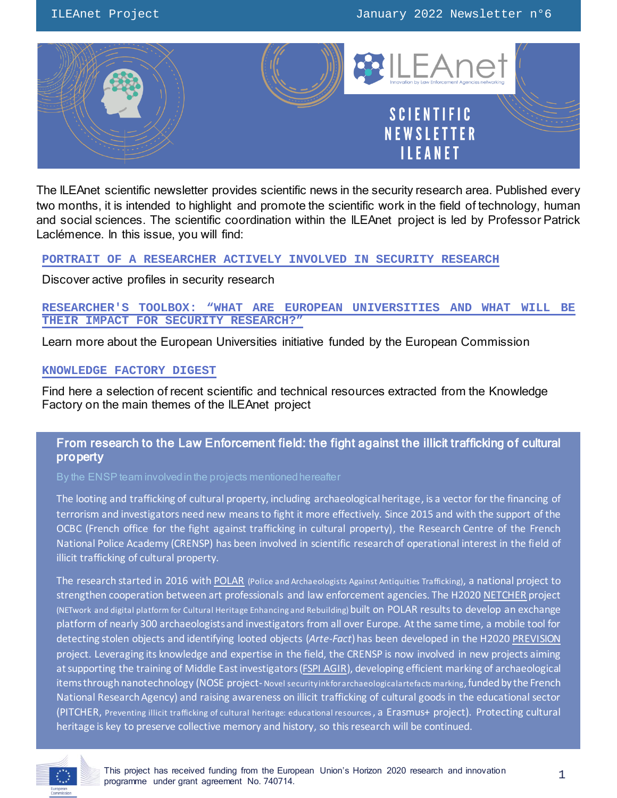

The ILEAnet scientific newsletter provides scientific news in the security research area. Published every two months, it is intended to highlight and promote the scientific work in the field of technology, human and social sciences. The scientific coordination within the ILEAnet project is led by Professor Patrick Laclémence. In this issue, you will find:

### **PORTRAIT OF A RESEARCHER [ACTIVELY INVOLVED IN SECURITY](#page-1-0) RESEARCH**

Discover active profiles in security research

### **RESEARCHER'S TOOLBOX: "[WHAT ARE EUROPEAN UNIVERSITIES AND WHAT WILL BE](#page-5-0)  [THEIR IMPACT FOR SECURITY RESEARCH?](#page-5-0)"**

Learn more about the European Universities initiative funded by the European Commission

### **[KNOWLEDGE FACTORY DIGEST](#page-7-0)**

Find here a selection of recent scientific and technical resources extracted from the Knowledge Factory on the main themes of the ILEAnet project

# From research to the Law Enforcement field: the fight against the illicit trafficking of cultural property

The looting and trafficking of cultural property, including archaeological heritage, is a vector for the financing of terrorism and investigators need new means to fight it more effectively. Since 2015 and with the support of the OCBC (French office for the fight against trafficking in cultural property), the Research Centre of the French National Police Academy (CRENSP) has been involved in scientific research of operational interest in the field of illicit trafficking of cultural property.

The research started in 2016 wit[h POLAR](https://www.ensp.interieur.gouv.fr/Recherche/Les-axes-prioritaires-de-recherche/Systemique-entre-sciences-humaines-et-sociales-et-sciences-de-l-information-et-des-technologies/POLAR-Policiers-et-Archeologues-face-au-trafic-d-antiquites) (Police and Archaeologists Against Antiquities Trafficking), a national project to strengthen cooperation between art professionals and law enforcement agencies. The H202[0 NETCHER](https://netcher.eu/) project (NETwork and digital platform for Cultural Heritage Enhancing and Rebuilding) built on POLAR results to develop an exchange platform of nearly 300 archaeologists and investigators from all over Europe. At the same time, a mobile tool for detecting stolen objects and identifying looted objects (*Arte-Fact*)has been developed in the H202[0 PREVISION](http://www.prevision-h2020.eu/) project. Leveraging its knowledge and expertise in the field, the CRENSP is now involved in new projects aiming atsupporting the training of Middle East investigators[\(FSPI AGIR\)](https://www.ensp.interieur.gouv.fr/Recherche/Les-axes-prioritaires-de-recherche/Systemique-entre-sciences-humaines-et-sociales-et-sciences-de-l-information-et-des-technologies/FSPI-AGIR), developing efficient marking of archaeological items through nanotechnology (NOSE project-Novel security inkforarchaeological artefacts marking, funded by the French National Research Agency) and raising awareness on illicit trafficking of cultural goods in the educational sector (PITCHER, Preventing illicit trafficking of cultural heritage: educational resources, a Erasmus+ project). Protecting cultural heritage is key to preserve collective memory and history, so this research will be continued.

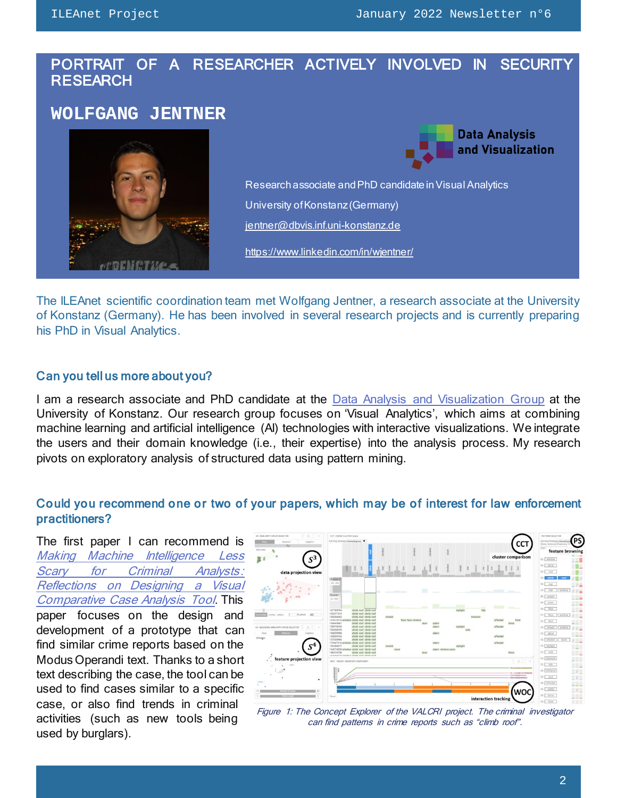# <span id="page-1-0"></span>PORTRAIT OF A RESEARCHER ACTIVELY INVOLVED IN SECURITY **RESEARCH**

# **WOLFGANG JENTNER**





Research associate and PhD candidate in Visual Analytics University of Konstanz (Germany) [jentner@dbvis.inf.uni-konstanz.de](mailto:jentner@dbvis.inf.uni-konstanz.de)

<https://www.linkedin.com/in/wjentner/>

The ILEAnet scientific coordination team met Wolfgang Jentner, a research associate at the University of Konstanz (Germany). He has been involved in several research projects and is currently preparing his PhD in Visual Analytics.

### Can you tell us more about you?

I am a research associate and PhD candidate at the [Data Analysis and Visualization Group](https://www.vis.uni-konstanz.de/) at the University of Konstanz. Our research group focuses on 'Visual Analytics', which aims at combining machine learning and artificial intelligence (AI) technologies with interactive visualizations. We integrate the users and their domain knowledge (i.e., their expertise) into the analysis process. My research pivots on exploratory analysis of structured data using pattern mining.

# Could you recommend one or two of your papers, which may be of interest for law enforcement practitioners?

The first paper I can recommend is [Making Machine Intelligence Less](https://bib.dbvis.de/uploadedFiles/tvcj_authors_version.pdf)  [Scary for Criminal Analysts:](https://bib.dbvis.de/uploadedFiles/tvcj_authors_version.pdf)  [Reflections on Designing a Visual](https://bib.dbvis.de/uploadedFiles/tvcj_authors_version.pdf)  [Comparative Case Analysis Tool](https://bib.dbvis.de/uploadedFiles/tvcj_authors_version.pdf). This paper focuses on the design and development of a prototype that can find similar crime reports based on the Modus Operandi text. Thanks to a short text describing the case, the tool can be used to find cases similar to a specific case, or also find trends in criminal activities (such as new tools being used by burglars).



Figure 1: The Concept Explorer of the VALCRI project. The criminal investigator can find patterns in crime reports such as "climb roof".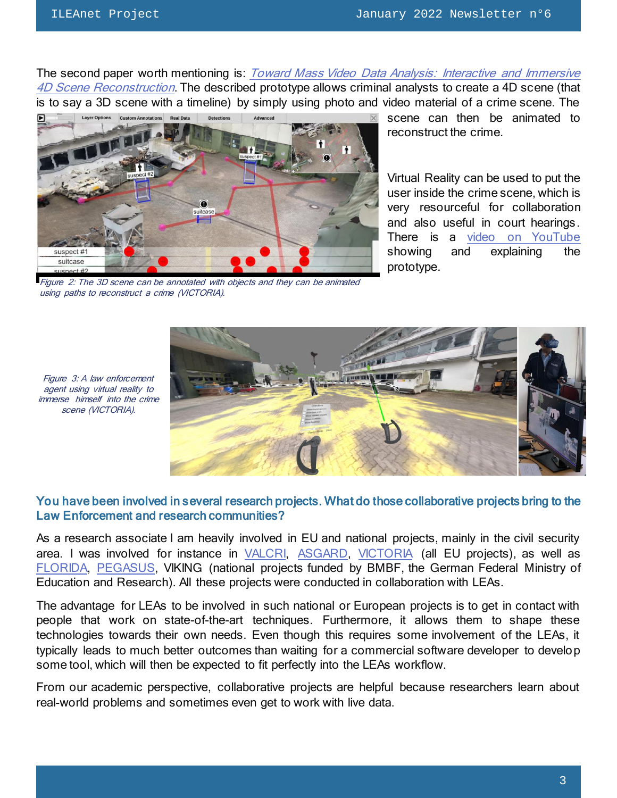Figure 3: A law enforcement agent using virtual reality to

scene (VICTORIA).

The second paper worth mentioning is: Toward Mass Video Data Analysis: Interactive and Immersive [4D Scene Reconstruction](https://bib.dbvis.de/uploadedFiles/sensors-20-05426_small.pdf). The described prototype allows criminal analysts to create a 4D scene (that is to say a 3D scene with a timeline) by simply using photo and video material of a crime scene. The



Figure 2: The 3D scene can be annotated with objects and they can be animated using paths to reconstruct a crime (VICTORIA).

scene can then be animated to reconstruct the crime.

Virtual Reality can be used to put the user inside the crime scene, which is very resourceful for collaboration and also useful in court hearings. There is a [video on YouTube](https://www.youtube.com/watch?v=bcDrLCaI2RI) showing and explaining the prototype.



You have been involved in several research projects. What do those collaborative projects bring to the Law Enforcement and research communities?

As a research associate I am heavily involved in EU and national projects, mainly in the civil security area. I was involved for instance in [VALCRI,](http://valcri.org/) [ASGARD,](https://www.asgard-project.eu/) [VICTORIA](https://www.victoria-project.eu/) (all EU projects), as well as [FLORIDA,](http://www.florida-project.de/index-en.html) [PEGASUS,](https://www.vis.uni-konstanz.de/en/research/projects/pegasus) VIKING (national projects funded by BMBF, the German Federal Ministry of Education and Research). All these projects were conducted in collaboration with LEAs.

The advantage for LEAs to be involved in such national or European projects is to get in contact with people that work on state-of-the-art techniques. Furthermore, it allows them to shape these technologies towards their own needs. Even though this requires some involvement of the LEAs, it typically leads to much better outcomes than waiting for a commercial software developer to develop some tool, which will then be expected to fit perfectly into the LEAs workflow.

From our academic perspective, collaborative projects are helpful because researchers learn about real-world problems and sometimes even get to work with live data.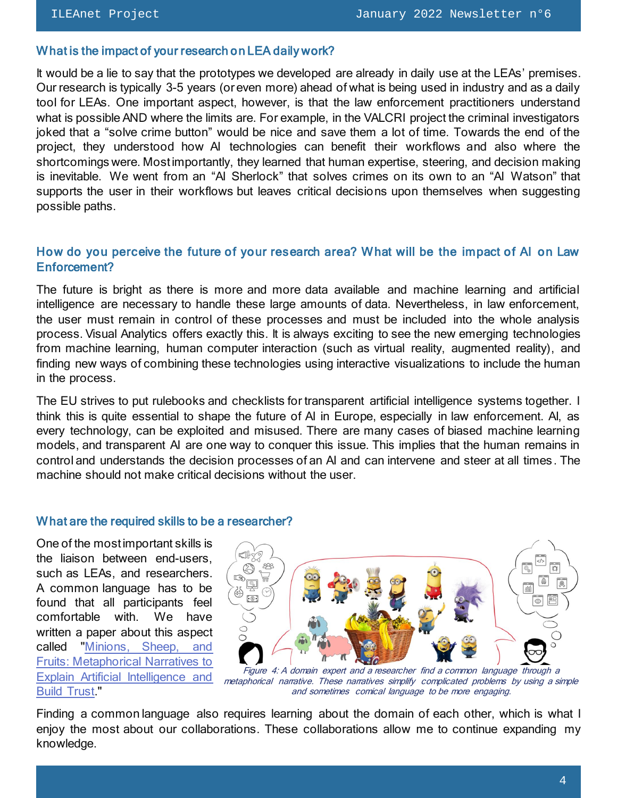# What is the impact of your research on LEA daily work?

It would be a lie to say that the prototypes we developed are already in daily use at the LEAs' premises. Our research is typically 3-5 years (or even more) ahead of what is being used in industry and as a daily tool for LEAs. One important aspect, however, is that the law enforcement practitioners understand what is possible AND where the limits are. For example, in the VALCRI project the criminal investigators joked that a "solve crime button" would be nice and save them a lot of time. Towards the end of the project, they understood how AI technologies can benefit their workflows and also where the shortcomings were. Most importantly, they learned that human expertise, steering, and decision making is inevitable. We went from an "AI Sherlock" that solves crimes on its own to an "AI Watson" that supports the user in their workflows but leaves critical decisions upon themselves when suggesting possible paths.

# How do you perceive the future of your research area? What will be the impact of AI on Law Enforcement?

The future is bright as there is more and more data available and machine learning and artificial intelligence are necessary to handle these large amounts of data. Nevertheless, in law enforcement, the user must remain in control of these processes and must be included into the whole analysis process. Visual Analytics offers exactly this. It is always exciting to see the new emerging technologies from machine learning, human computer interaction (such as virtual reality, augmented reality), and finding new ways of combining these technologies using interactive visualizations to include the human in the process.

The EU strives to put rulebooks and checklists for transparent artificial intelligence systems together. I think this is quite essential to shape the future of AI in Europe, especially in law enforcement. AI, as every technology, can be exploited and misused. There are many cases of biased machine learning models, and transparent AI are one way to conquer this issue. This implies that the human remains in control and understands the decision processes of an AI and can intervene and steer at all times. The machine should not make critical decisions without the user.

### What are the required skills to be a researcher?

One of the mostimportant skills is the liaison between end-users, such as LEAs, and researchers. A common language has to be found that all participants feel comfortable with. We have written a paper about this aspect called ["Minions, Sheep, and](https://bib.dbvis.de/uploadedFiles/minionssheepfruits.pdf)  [Fruits: Metaphorical Narratives to](https://bib.dbvis.de/uploadedFiles/minionssheepfruits.pdf)  [Explain Artificial Intelligence and](https://bib.dbvis.de/uploadedFiles/minionssheepfruits.pdf)  **[Build Trust.](https://bib.dbvis.de/uploadedFiles/minionssheepfruits.pdf)** 



Figure 4: A domain expert and a researcher find a common language through a metaphorical narrative. These narratives simplify complicated problems by using a simple and sometimes comical language to be more engaging.

Finding a common language also requires learning about the domain of each other, which is what I enjoy the most about our collaborations. These collaborations allow me to continue expanding my knowledge.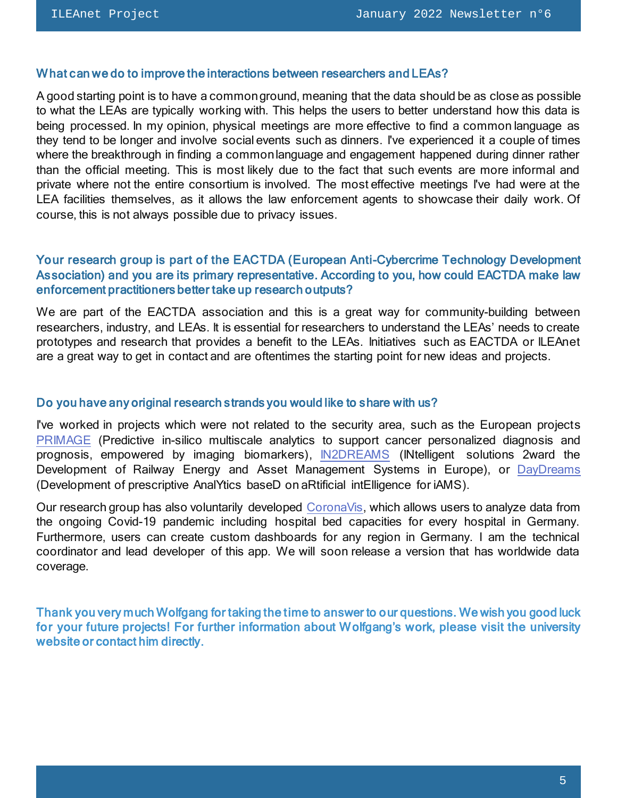#### What can we do to improve the interactions between researchers and LEAs?

A good starting point is to have a common ground, meaning that the data should be as close as possible to what the LEAs are typically working with. This helps the users to better understand how this data is being processed. In my opinion, physical meetings are more effective to find a common language as they tend to be longer and involve social events such as dinners. I've experienced it a couple of times where the breakthrough in finding a common language and engagement happened during dinner rather than the official meeting. This is most likely due to the fact that such events are more informal and private where not the entire consortium is involved. The most effective meetings I've had were at the LEA facilities themselves, as it allows the law enforcement agents to showcase their daily work. Of course, this is not always possible due to privacy issues.

# Your research group is part of the [EACTDA](https://www.eactda.eu/) (European Anti-Cybercrime Technology Development Association) and you are its primary representative. According to you, how could EACTDA make law enforcement practitioners better take up research outputs?

We are part of the EACTDA association and this is a great way for community-building between researchers, industry, and LEAs. It is essential for researchers to understand the LEAs' needs to create prototypes and research that provides a benefit to the LEAs. Initiatives such as EACTDA or ILEAnet are a great way to get in contact and are oftentimes the starting point for new ideas and projects.

#### Do you have any original research strands you would like to share with us?

I've worked in projects which were not related to the security area, such as the European projects [PRIMAGE](https://www.primageproject.eu/) (Predictive in-silico multiscale analytics to support cancer personalized diagnosis and prognosis, empowered by imaging biomarkers), [IN2DREAMS](http://www.in2dreams.eu/) (INtelligent solutions 2ward the Development of Railway Energy and Asset Management Systems in Europe), or [DayDreams](https://daydreams-project.eu/) (Development of prescriptive AnalYtics baseD on aRtificial intElligence for iAMS).

Our research group has also voluntarily developed [CoronaVis,](https://coronavis.dbvis.de/) which allows users to analyze data from the ongoing Covid-19 pandemic including hospital bed capacities for every hospital in Germany. Furthermore, users can create custom dashboards for any region in Germany. I am the technical coordinator and lead developer of this app. We will soon release a version that has worldwide data coverage.

Thank you very much Wolfgang for taking the time to answer to our questions. We wish you good luck for your future projects! For further information about Wolfgang's work, please visit the [university](https://www.vis.uni-konstanz.de/en/members/jentner/)  [website](https://www.vis.uni-konstanz.de/en/members/jentner/) or contact him directly.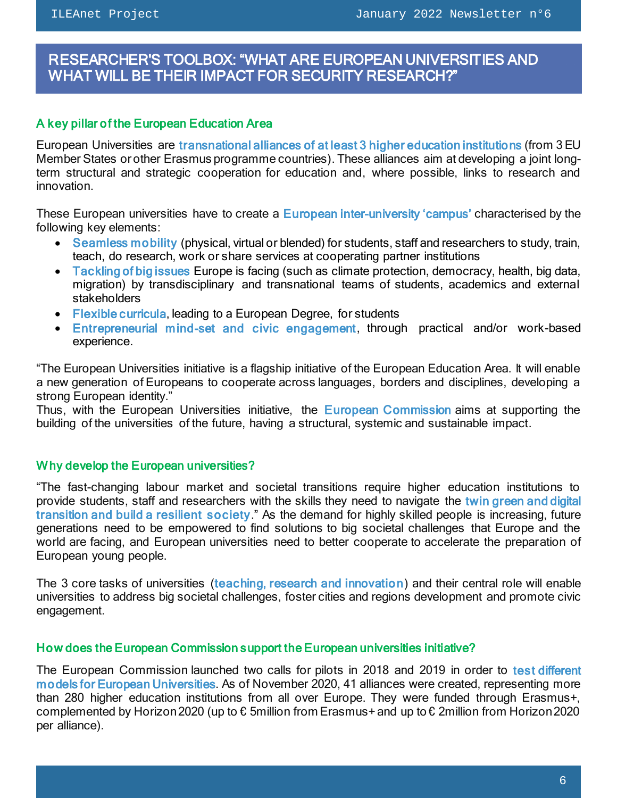<span id="page-5-0"></span>ł

# RESEARCHER'S TOOLBOX: "WHAT ARE EUROPEAN UNIVERSITIES AND WHAT WILL BE THEIR IMPACT FOR SECURITY RESEARCH?"

# A key pillar of the European Education Area

European Universities are transnational alliances of at least 3 higher education institutions (from 3 EU Member States or other Erasmus programme countries). These alliances aim at developing a joint longterm structural and strategic cooperation for education and, where possible, links to research and innovation.

These European universities have to create a European inter-university 'campus' characterised by the following key elements:

- Seamless mobility (physical, virtual or blended) for students, staff and researchers to study, train, teach, do research, work or share services at cooperating partner institutions
- Tackling of big issues Europe is facing (such as climate protection, democracy, health, big data, migration) by transdisciplinary and transnational teams of students, academics and external stakeholders
- Flexible curricula, leading to a European Degree, for students
- Entrepreneurial mind-set and civic engagement, through practical and/or work-based experience.

"The European Universities initiative is a flagship initiative of the European Education Area. It will enable a new generation of Europeans to cooperate across languages, borders and disciplines, developing a strong European identity."

Thus, with the European Universities initiative, the European Commission aims at supporting the building of the universities of the future, having a structural, systemic and sustainable impact.

# Why develop the European universities?

"The fast-changing labour market and societal transitions require higher education institutions to provide students, staff and researchers with the skills they need to navigate the twin green and digital transition and build a resilient society." As the demand for highly skilled people is increasing, future generations need to be empowered to find solutions to big societal challenges that Europe and the world are facing, and European universities need to better cooperate to accelerate the preparation of European young people.

The 3 core tasks of universities (teaching, research and innovation) and their central role will enable universities to address big societal challenges, foster cities and regions development and promote civic engagement.

### How does the European Commission support the European universities initiative?

The European Commission launched two calls for pilots in 2018 and 2019 in order to test different models for European Universities. As of November 2020, 41 alliances were created, representing more than 280 higher education institutions from all over Europe. They were funded through Erasmus+, complemented by Horizon 2020 (up to € 5million from Erasmus+ and up to € 2million from Horizon 2020 per alliance).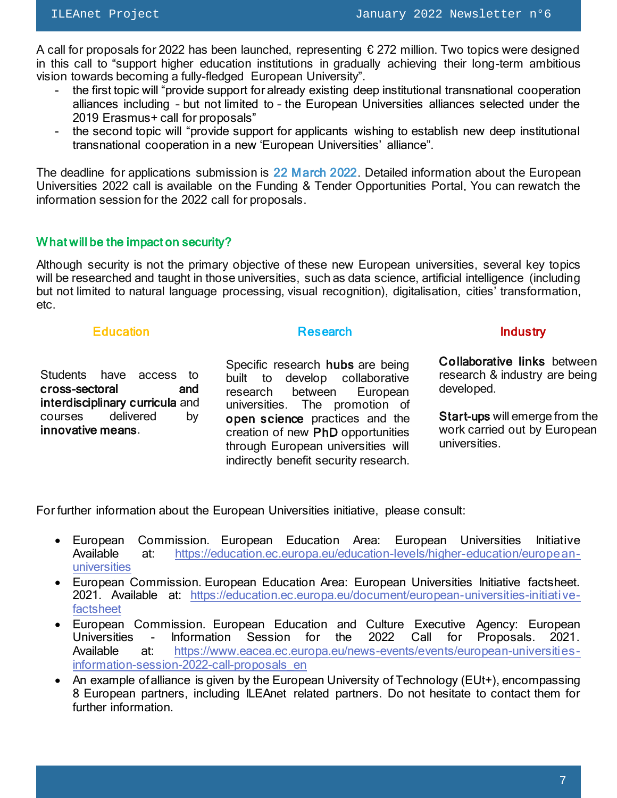A call for proposals for 2022 has been launched, representing  $\epsilon$  272 million. Two topics were designed in this call to "support higher education institutions in gradually achieving their long-term ambitious vision towards becoming a fully-fledged European University".

- the first topic will "provide support for already existing deep institutional transnational cooperation alliances including – but not limited to – the European Universities alliances selected under the 2019 Erasmus+ call for proposals"
- the second topic will "provide support for applicants wishing to establish new deep institutional transnational cooperation in a new 'European Universities' alliance".

The deadline for applications submission is 22 March 2022. Detailed information about the European Universities 2022 call is available on the [Funding & Tender Opportunities Portal.](https://ec.europa.eu/info/funding-tenders/opportunities/portal/screen/opportunities/topic-search;callCode=null;freeTextSearchKeyword=european%20universities;matchWholeText=true;typeCodes=0,1,2;statusCodes=31094502;programmePeriod=2021%20-%202027;programCcm2Id=43353764;programDivisionCode=null;focusAreaCode=null;destination=null;mission=null;geographicalZonesCode=null;programmeDivisionProspect=null;startDateLte=null;startDateGte=null;crossCuttingPriorityCode=null;cpvCode=null;performanceOfDelivery=null;sortQuery=sortStatus;orderBy=asc;onlyTenders=false;topicListKey=topicSearchTablePageState) You can rewatch the information [session for the 2022 call for proposals.](https://webcast.ec.europa.eu/european-universities-information-session-for-the-2022-call-for-proposals-21-12-14)

# What will be the impact on security?

Although security is not the primary objective of these new European universities, several key topics will be researched and taught in those universities, such as data science, artificial intelligence (including but not limited to natural language processing, visual recognition), digitalisation, cities' transformation, etc.

# **Education**

Students have access to cross-sectoral and interdisciplinary curricula and courses delivered by innovative means.

Specific research hubs are being built to develop collaborative research between European<br>universities. The promotion of The promotion of open science practices and the creation of new PhD opportunities through European universities will indirectly benefit security research.

### Research **Industry**

Collaborative links between research & industry are being developed.

Start-ups will emerge from the work carried out by European universities.

For further information about the European Universities initiative, please consult:

- European Commission. European Education Area: European Universities Initiative Available at: [https://education.ec.europa.eu/education-levels/higher-education/european](https://education.ec.europa.eu/education-levels/higher-education/european-universities)[universities](https://education.ec.europa.eu/education-levels/higher-education/european-universities)
- European Commission. European Education Area: European Universities Initiative factsheet. 2021. Available at: [https://education.ec.europa.eu/document/european-universities-initiative](https://education.ec.europa.eu/document/european-universities-initiative-factsheet)[factsheet](https://education.ec.europa.eu/document/european-universities-initiative-factsheet)
- European Commission. European Education and Culture Executive Agency: European Universities - Information Session for the 2022 Call for Proposals. 2021. Available at: [https://www.eacea.ec.europa.eu/news-events/events/european-universities](https://www.eacea.ec.europa.eu/news-events/events/european-universities-information-session-2022-call-proposals_en)[information-session-2022-call-proposals\\_en](https://www.eacea.ec.europa.eu/news-events/events/european-universities-information-session-2022-call-proposals_en)
- An example of alliance is given by the European University of Technology (EUt+), encompassing 8 European partners, including ILEAnet related partners. Do not hesitate to contact them for further information.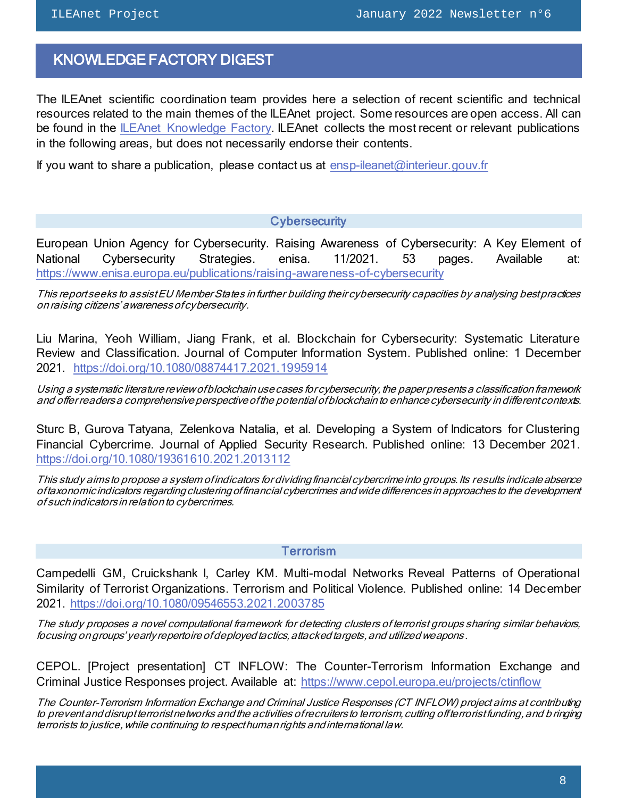# <span id="page-7-0"></span>KNOWLEDGE FACTORY DIGEST

The ILEAnet scientific coordination team provides here a selection of recent scientific and technical resources related to the main themes of the ILEAnet project. Some resources are open access. All can be found in the [ILEAnet Knowledge Factory.](https://ileanet.sym.place/groups/profile/109443/ileanet-knowledge-factory) ILEAnet collects the most recent or relevant publications in the following areas, but does not necessarily endorse their contents.

If you want to share a publication, please contact us at [ensp-ileanet@interieur.gouv.fr](mailto:ensp-ileanet@interieur.gouv.fr)

### **Cybersecurity**

European Union Agency for Cybersecurity. Raising Awareness of Cybersecurity: A Key Element of National Cybersecurity Strategies. enisa. 11/2021. 53 pages. Available at: <https://www.enisa.europa.eu/publications/raising-awareness-of-cybersecurity>

This report seeks to assist EU Member States in further building their cybersecurity capacities by analysing best practices on raising citizens' awareness of cybersecurity.

Liu Marina, Yeoh William, Jiang Frank, et al. Blockchain for Cybersecurity: Systematic Literature Review and Classification. Journal of Computer Information System. Published online: 1 December 2021. <https://doi.org/10.1080/08874417.2021.1995914>

Using a systematic literature review of blockchain use cases for cybersecurity, the paper presents a classification framework and offer readers a comprehensive perspective of the potential of blockchain to enhance cybersecurity in different contexts.

Sturc B, Gurova Tatyana, Zelenkova Natalia, et al. Developing a System of Indicators for Clustering Financial Cybercrime. Journal of Applied Security Research. Published online: 13 December 2021. <https://doi.org/10.1080/19361610.2021.2013112>

This study aims to propose a system of indicators for dividing financial cybercrime into groups. Its results indicate absence of taxonomic indicators regarding clustering of financial cybercrimes and wide differences in approaches to the development of such indicators in relation to cybercrimes.

### Terrorism

Campedelli GM, Cruickshank I, Carley KM. Multi-modal Networks Reveal Patterns of Operational Similarity of Terrorist Organizations. Terrorism and Political Violence. Published online: 14 December 2021.<https://doi.org/10.1080/09546553.2021.2003785>

The study proposes a novel computational framework for detecting clusters of terrorist groups sharing similar behaviors, focusing on groups' yearly repertoire of deployed tactics, attacked targets, and utilized weapons .

CEPOL. [Project presentation] CT INFLOW: The Counter-Terrorism Information Exchange and Criminal Justice Responses project. Available at: <https://www.cepol.europa.eu/projects/ctinflow>

The Counter-Terrorism Information Exchange and Criminal Justice Responses (CT INFLOW) project aims at contributing to prevent and disrupt terrorist networks and the activities of recruiters to terrorism, cutting off terrorist funding, and b ringing terrorists to justice, while continuing to respect human rights and international law.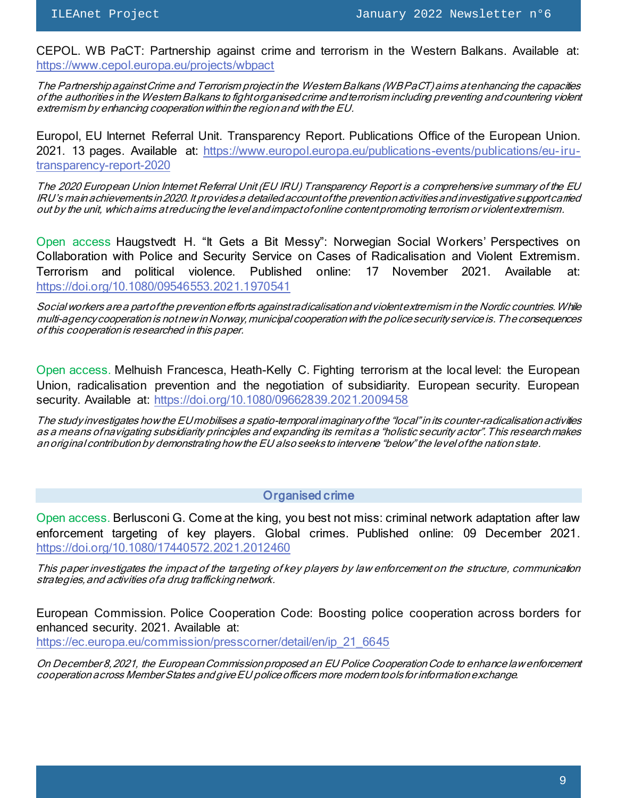CEPOL. WB PaCT: Partnership against crime and terrorism in the Western Balkans. Available at: <https://www.cepol.europa.eu/projects/wbpact>

The Partnership against Crime and Terrorism project in the Western Balkans (WB PaCT) aims at enhancing the capacities of the authorities in the Western Balkans to fight organised crime and terrorism including preventing and countering violent extremism by enhancing cooperation within the region and with the EU.

Europol, EU Internet Referral Unit. Transparency Report. Publications Office of the European Union. 2021. 13 pages. Available at: [https://www.europol.europa.eu/publications-events/publications/eu-iru](https://www.europol.europa.eu/publications-events/publications/eu-iru-transparency-report-2020)[transparency-report-2020](https://www.europol.europa.eu/publications-events/publications/eu-iru-transparency-report-2020)

The 2020 European Union Internet Referral Unit (EU IRU) Transparency Report is a comprehensive summary of the EU IRU's main achievements in 2020. It provides a detailed account of the prevention activities and investigative support carried out by the unit, which aims at reducing the level and impact of online content promoting terrorism or violent extremism.

Open access Haugstvedt H. "It Gets a Bit Messy": Norwegian Social Workers' Perspectives on Collaboration with Police and Security Service on Cases of Radicalisation and Violent Extremism. Terrorism and political violence. Published online: 17 November 2021. Available at: <https://doi.org/10.1080/09546553.2021.1970541>

Social workers are a part of the prevention efforts against radicalisation and violent extremism in the Nordic countries. While multi-agency cooperation is not new in Norway, municipal cooperation with the police security service is. The consequences of this cooperation is researched in this paper.

Open access. Melhuish Francesca, Heath-Kelly C. Fighting terrorism at the local level: the European Union, radicalisation prevention and the negotiation of subsidiarity. European security. European security. Available at:<https://doi.org/10.1080/09662839.2021.2009458>

The study investigates how the EU mobilises a spatio-temporal imaginary of the "local" in its counter-radicalisation activities as a means of navigating subsidiarity principles and expanding its remit as a "holistic security actor". This research makes an original contribution by demonstrating how the EU also seeks to intervene "below" the level of the nation state.

### Organised crime

Open access. Berlusconi G. Come at the king, you best not miss: criminal network adaptation after law enforcement targeting of key players. Global crimes. Published online: 09 December 2021. <https://doi.org/10.1080/17440572.2021.2012460>

This paper investigates the impact of the targeting of key players by law enforcement on the structure, communication strategies, and activities of a drug trafficking network.

European Commission. Police Cooperation Code: Boosting police cooperation across borders for enhanced security. 2021. Available at: [https://ec.europa.eu/commission/presscorner/detail/en/ip\\_21\\_6645](https://ec.europa.eu/commission/presscorner/detail/en/ip_21_6645)

On December 8, 2021, the European Commission proposed an EU Police Cooperation Code to enhance law enforcement cooperation across Member States and give EU police officers more modern tools for information exchange.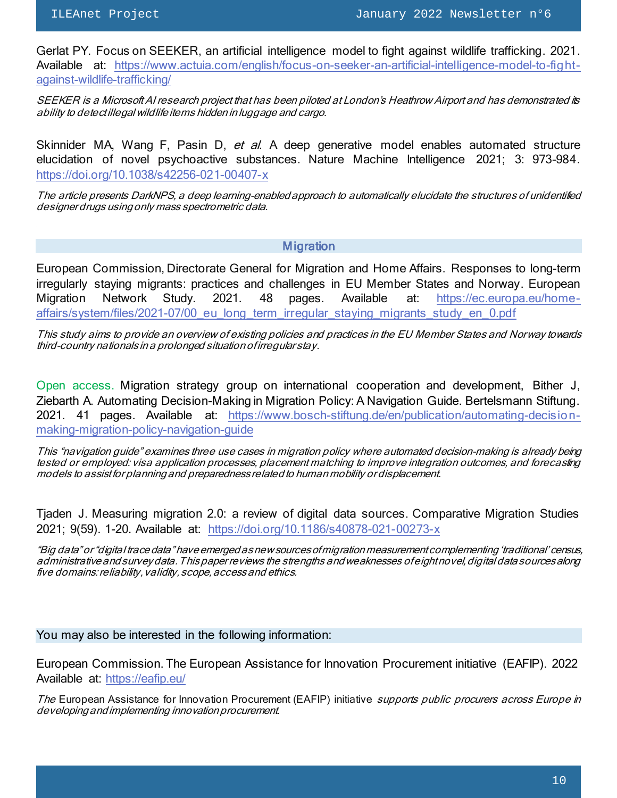Gerlat PY. Focus on SEEKER, an artificial intelligence model to fight against wildlife trafficking. 2021. Available at: [https://www.actuia.com/english/focus-on-seeker-an-artificial-intelligence-model-to-fight](https://www.actuia.com/english/focus-on-seeker-an-artificial-intelligence-model-to-fight-against-wildlife-trafficking/)[against-wildlife-trafficking/](https://www.actuia.com/english/focus-on-seeker-an-artificial-intelligence-model-to-fight-against-wildlife-trafficking/)

SEEKER is a Microsoft AI research project that has been piloted at London's Heathrow Airport and has demonstrated its ability to detect illegal wildlife items hidden in luggage and cargo.

Skinnider MA, Wang F, Pasin D, et al. A deep generative model enables automated structure elucidation of novel psychoactive substances. Nature Machine Intelligence 2021; 3: 973–984. <https://doi.org/10.1038/s42256-021-00407-x>

The article presents DarkNPS, a deep learning-enabled approach to automatically elucidate the structures of unidentified designer drugs using only mass spectrometric data.

### **Migration**

European Commission, Directorate General for Migration and Home Affairs. Responses to long-term irregularly staying migrants: practices and challenges in EU Member States and Norway. European Migration Network Study. 2021. 48 pages. Available at: [https://ec.europa.eu/home](https://ec.europa.eu/home-affairs/system/files/2021-07/00_eu_long_term_irregular_staying_migrants_study_en_0.pdf)[affairs/system/files/2021-07/00\\_eu\\_long\\_term\\_irregular\\_staying\\_migrants\\_study\\_en\\_0.pdf](https://ec.europa.eu/home-affairs/system/files/2021-07/00_eu_long_term_irregular_staying_migrants_study_en_0.pdf)

This study aims to provide an overview of existing policies and practices in the EU Member States and Norway towards third-country nationals in a prolonged situation of irregular stay.

Open access. Migration strategy group on international cooperation and development, Bither J, Ziebarth A. Automating Decision-Making in Migration Policy: A Navigation Guide. Bertelsmann Stiftung. 2021. 41 pages. Available at: [https://www.bosch-stiftung.de/en/publication/automating-decision](https://www.bosch-stiftung.de/en/publication/automating-decision-making-migration-policy-navigation-guide)[making-migration-policy-navigation-guide](https://www.bosch-stiftung.de/en/publication/automating-decision-making-migration-policy-navigation-guide)

This "navigation guide" examines three use cases in migration policy where automated decision-making is already being tested or employed: visa application processes, placement matching to improve integration outcomes, and forecasting models to assist for planning and preparedness related to human mobility or displacement.

Tjaden J. Measuring migration 2.0: a review of digital data sources. Comparative Migration Studies 2021; 9(59). 1-20. Available at: <https://doi.org/10.1186/s40878-021-00273-x>

"Big data" or "digital trace data" have emerged as new sources of migration measurement complementing 'traditional' census, administrative and survey data. This paper reviews the strengths and weaknesses of eight novel, digital data sources along five domains: reliability, validity, scope, access and ethics.

#### You may also be interested in the following information:

European Commission. The European Assistance for Innovation Procurement initiative (EAFIP). 2022 Available at: <https://eafip.eu/>

The European Assistance for Innovation Procurement (EAFIP) initiative supports public procurers across Europe in developing and implementing innovation procurement.